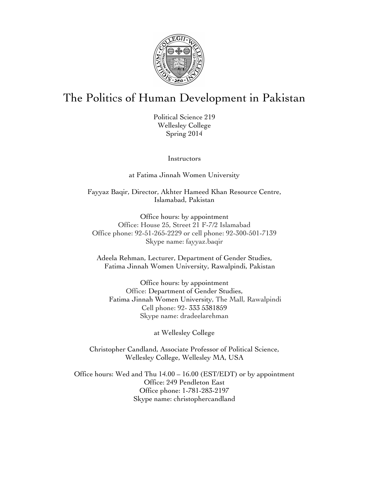

# The Politics of Human Development in Pakistan

Political Science 219 Wellesley College Spring 2014

Instructors

at Fatima Jinnah Women University

Fayyaz Baqir, Director, Akhter Hameed Khan Resource Centre, Islamabad, Pakistan

Office hours: by appointment Office: House 25, Street 21 F-7/2 Islamabad Office phone: 92-51-265-2229 or cell phone: 92-300-501-7139 Skype name: fayyaz.baqir

Adeela Rehman, Lecturer, Department of Gender Studies, Fatima Jinnah Women University, Rawalpindi, Pakistan

Office hours: by appointment Office: Department of Gender Studies, Fatima Jinnah Women University, The Mall, Rawalpindi Cell phone: 92- 333 5381859 Skype name: dradeelarehman

at Wellesley College

Christopher Candland, Associate Professor of Political Science, Wellesley College, Wellesley MA, USA

Office hours: Wed and Thu 14.00 – 16.00 (EST/EDT) or by appointment Office: 249 Pendleton East Office phone: 1-781-283-2197 Skype name: christophercandland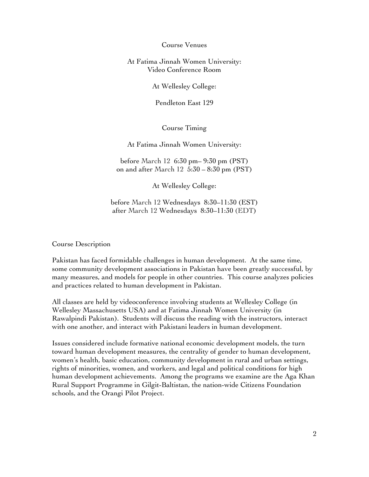Course Venues

At Fatima Jinnah Women University: Video Conference Room

At Wellesley College:

Pendleton East 129

Course Timing

At Fatima Jinnah Women University:

before March 12 6:30 pm– 9:30 pm (PST) on and after March 12 5:30 – 8:30 pm (PST)

At Wellesley College:

before March 12 Wednesdays 8:30–11:30 (EST) after March 12 Wednesdays 8:30–11:30 (EDT)

Course Description

Pakistan has faced formidable challenges in human development. At the same time, some community development associations in Pakistan have been greatly successful, by many measures, and models for people in other countries. This course analyzes policies and practices related to human development in Pakistan.

All classes are held by videoconference involving students at Wellesley College (in Wellesley Massachusetts USA) and at Fatima Jinnah Women University (in Rawalpindi Pakistan). Students will discuss the reading with the instructors, interact with one another, and interact with Pakistani leaders in human development.

Issues considered include formative national economic development models, the turn toward human development measures, the centrality of gender to human development, women's health, basic education, community development in rural and urban settings, rights of minorities, women, and workers, and legal and political conditions for high human development achievements. Among the programs we examine are the Aga Khan Rural Support Programme in Gilgit-Baltistan, the nation-wide Citizens Foundation schools, and the Orangi Pilot Project.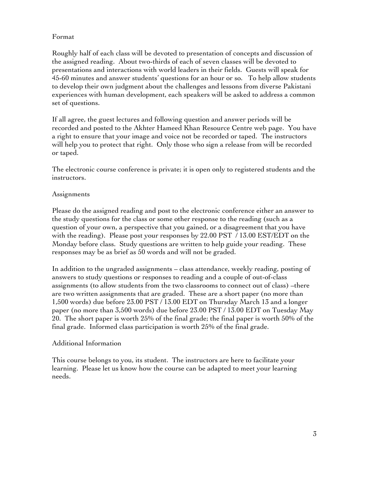# Format

Roughly half of each class will be devoted to presentation of concepts and discussion of the assigned reading. About two-thirds of each of seven classes will be devoted to presentations and interactions with world leaders in their fields. Guests will speak for 45-60 minutes and answer students' questions for an hour or so. To help allow students to develop their own judgment about the challenges and lessons from diverse Pakistani experiences with human development, each speakers will be asked to address a common set of questions.

If all agree, the guest lectures and following question and answer periods will be recorded and posted to the Akhter Hameed Khan Resource Centre web page. You have a right to ensure that your image and voice not be recorded or taped. The instructors will help you to protect that right. Only those who sign a release from will be recorded or taped.

The electronic course conference is private; it is open only to registered students and the instructors.

# Assignments

Please do the assigned reading and post to the electronic conference either an answer to the study questions for the class or some other response to the reading (such as a question of your own, a perspective that you gained, or a disagreement that you have with the reading). Please post your responses by 22.00 PST / 13.00 EST/EDT on the Monday before class. Study questions are written to help guide your reading. These responses may be as brief as 50 words and will not be graded.

In addition to the ungraded assignments – class attendance, weekly reading, posting of answers to study questions or responses to reading and a couple of out-of-class assignments (to allow students from the two classrooms to connect out of class) –there are two written assignments that are graded. These are a short paper (no more than 1,500 words) due before 23.00 PST / 13.00 EDT on Thursday March 13 and a longer paper (no more than 3,500 words) due before 23.00 PST / 13.00 EDT on Tuesday May 20. The short paper is worth 25% of the final grade; the final paper is worth 50% of the final grade. Informed class participation is worth 25% of the final grade.

# Additional Information

This course belongs to you, its student. The instructors are here to facilitate your learning. Please let us know how the course can be adapted to meet your learning needs.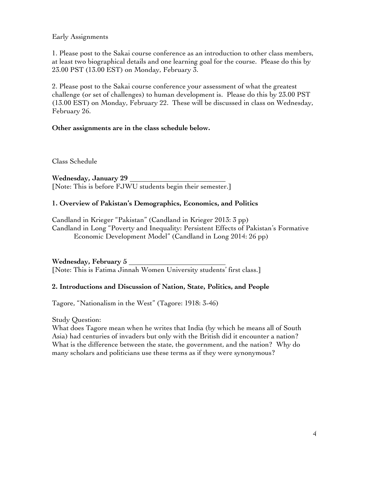# Early Assignments

1. Please post to the Sakai course conference as an introduction to other class members, at least two biographical details and one learning goal for the course. Please do this by 23.00 PST (13.00 EST) on Monday, February 3.

2. Please post to the Sakai course conference your assessment of what the greatest challenge (or set of challenges) to human development is. Please do this by 23.00 PST (13.00 EST) on Monday, February 22. These will be discussed in class on Wednesday, February 26.

# **Other assignments are in the class schedule below.**

Class Schedule

**Wednesday, January 29** [Note: This is before FJWU students begin their semester.]

# **1. Overview of Pakistan's Demographics, Economics, and Politics**

Candland in Krieger "Pakistan" (Candland in Krieger 2013: 3 pp) Candland in Long "Poverty and Inequality: Persistent Effects of Pakistan's Formative Economic Development Model" (Candland in Long 2014: 26 pp)

**Wednesday, February 5**  [Note: This is Fatima Jinnah Women University students' first class.]

# **2. Introductions and Discussion of Nation, State, Politics, and People**

Tagore, "Nationalism in the West" (Tagore: 1918: 3-46)

Study Question:

What does Tagore mean when he writes that India (by which he means all of South Asia) had centuries of invaders but only with the British did it encounter a nation? What is the difference between the state, the government, and the nation? Why do many scholars and politicians use these terms as if they were synonymous?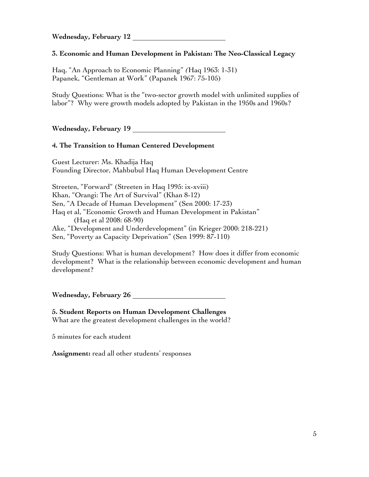**Wednesday, February 12** 

# **3. Economic and Human Development in Pakistan: The Neo-Classical Legacy**

Haq, "An Approach to Economic Planning" *(*Haq 1963: 1-31) Papanek, "Gentleman at Work" (Papanek 1967: 75-105)

Study Questions: What is the "two-sector growth model with unlimited supplies of labor"? Why were growth models adopted by Pakistan in the 1950s and 1960s?

**Wednesday, February 19**

# **4. The Transition to Human Centered Development**

Guest Lecturer: Ms. Khadija Haq Founding Director, Mahbubul Haq Human Development Centre

Streeten, "Forward" (Streeten in Haq 1995: ix-xviii) Khan, "Orangi: The Art of Survival" (Khan 8-12) Sen, "A Decade of Human Development" (Sen 2000: 17-23) Haq et al, "Economic Growth and Human Development in Pakistan" (Haq et al 2008: 68-90) Ake, "Development and Underdevelopment" (in Krieger 2000: 218-221) Sen, "Poverty as Capacity Deprivation" (Sen 1999: 87-110)

Study Questions: What is human development? How does it differ from economic development? What is the relationship between economic development and human development?

**Wednesday, February 26**

#### **5. Student Reports on Human Development Challenges** What are the greatest development challenges in the world?

5 minutes for each student

**Assignment:** read all other students' responses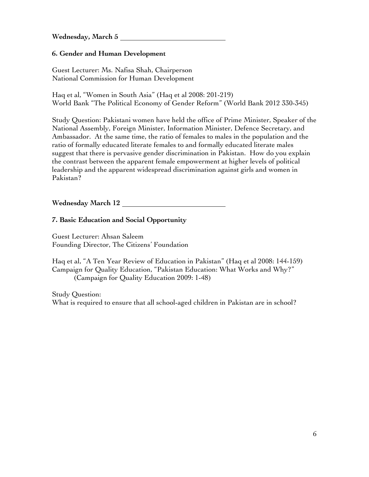**Wednesday, March 5** 

# **6. Gender and Human Development**

Guest Lecturer: Ms. Nafisa Shah, Chairperson National Commission for Human Development

Haq et al, "Women in South Asia" (Haq et al 2008: 201-219) World Bank "The Political Economy of Gender Reform" (World Bank 2012 330-345)

Study Question: Pakistani women have held the office of Prime Minister, Speaker of the National Assembly, Foreign Minister, Information Minister, Defence Secretary, and Ambassador. At the same time, the ratio of females to males in the population and the ratio of formally educated literate females to and formally educated literate males suggest that there is pervasive gender discrimination in Pakistan. How do you explain the contrast between the apparent female empowerment at higher levels of political leadership and the apparent widespread discrimination against girls and women in Pakistan?

**Wednesday March 12** 

# **7. Basic Education and Social Opportunity**

Guest Lecturer: Ahsan Saleem Founding Director, The Citizens' Foundation

Haq et al, "A Ten Year Review of Education in Pakistan" (Haq et al 2008: 144-159) Campaign for Quality Education, "Pakistan Education: What Works and Why?" (Campaign for Quality Education 2009: 1-48)

Study Question: What is required to ensure that all school-aged children in Pakistan are in school?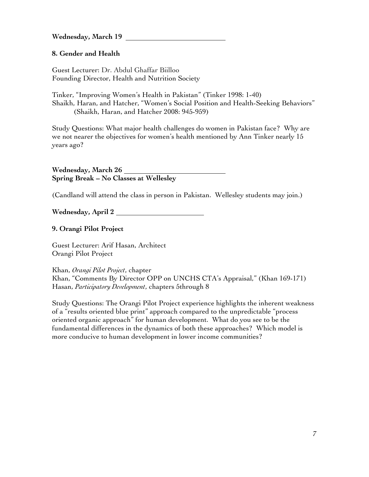**Wednesday, March 19**

# **8. Gender and Health**

Guest Lecturer: Dr. Abdul Ghaffar Biilloo Founding Director, Health and Nutrition Society

Tinker, "Improving Women's Health in Pakistan" (Tinker 1998: 1-40) Shaikh, Haran, and Hatcher, "Women's Social Position and Health-Seeking Behaviors" (Shaikh, Haran, and Hatcher 2008: 945-959)

Study Questions: What major health challenges do women in Pakistan face? Why are we not nearer the objectives for women's health mentioned by Ann Tinker nearly 15 years ago?

**Wednesday, March 26 Spring Break – No Classes at Wellesley**

(Candland will attend the class in person in Pakistan. Wellesley students may join.)

**Wednesday, April 2** 

**9. Orangi Pilot Project**

Guest Lecturer: Arif Hasan, Architect Orangi Pilot Project

Khan, *Orangi Pilot Project*, chapter

Khan, "Comments By Director OPP on UNCHS CTA's Appraisal," (Khan 169-171) Hasan, *Participatory Development*, chapters 5through 8

Study Questions: The Orangi Pilot Project experience highlights the inherent weakness of a "results oriented blue print" approach compared to the unpredictable "process oriented organic approach" for human development. What do you see to be the fundamental differences in the dynamics of both these approaches? Which model is more conducive to human development in lower income communities?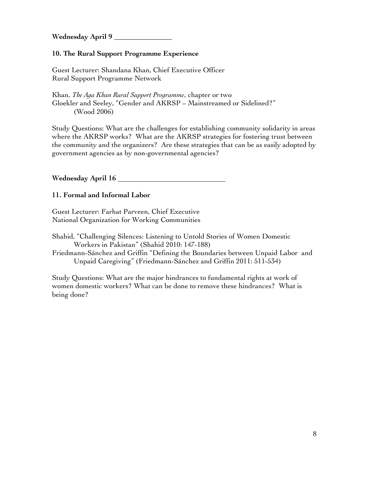**Wednesday April 9 \_\_\_\_\_\_\_\_\_\_\_\_\_\_\_\_**

#### **10. The Rural Support Programme Experience**

Guest Lecturer: Shandana Khan, Chief Executive Officer Rural Support Programme Network

Khan, *The Aga Khan Rural Support Programme*, chapter or two Gloekler and Seeley, "Gender and AKRSP – Mainstreamed or Sidelined?" (Wood 2006)

Study Questions: What are the challenges for establishing community solidarity in areas where the AKRSP works? What are the AKRSP strategies for fostering trust between the community and the organizers? Are these strategies that can be as easily adopted by government agencies as by non-governmental agencies?

**Wednesday April 16** 

#### **11. Formal and Informal Labor**

Guest Lecturer: Farhat Parveen, Chief Executive National Organization for Working Communities

Shahid, "Challenging Silences: Listening to Untold Stories of Women Domestic Workers in Pakistan" (Shahid 2010: 147-188)

Friedmann-Sánchez and Griffin "Defining the Boundaries between Unpaid Labor and Unpaid Caregiving" (Friedmann-Sánchez and Griffin 2011: 511-534)

Study Questions: What are the major hindrances to fundamental rights at work of women domestic workers? What can be done to remove these hindrances? What is being done?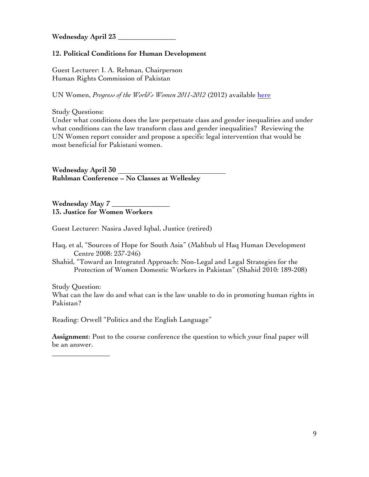**Wednesday April 23 \_\_\_\_\_\_\_\_\_\_\_\_\_\_\_\_**

# **12. Political Conditions for Human Development**

Guest Lecturer: I. A. Rehman, Chairperson Human Rights Commission of Pakistan

UN Women, *Progress of the World's Women 2011-2012* (2012) available here

Study Questions:

\_\_\_\_\_\_\_\_\_\_\_\_\_\_\_\_

Under what conditions does the law perpetuate class and gender inequalities and under what conditions can the law transform class and gender inequalities? Reviewing the UN Women report consider and propose a specific legal intervention that would be most beneficial for Pakistani women.

**Wednesday April 30 Ruhlman Conference – No Classes at Wellesley** 

**Wednesday May 7 \_\_\_\_\_\_\_\_\_\_\_\_\_\_\_\_ 13. Justice for Women Workers**

Guest Lecturer: Nasira Javed Iqbal, Justice (retired)

Haq, et al, "Sources of Hope for South Asia" (Mahbub ul Haq Human Development Centre 2008: 237-246)

Shahid, "Toward an Integrated Approach: Non-Legal and Legal Strategies for the Protection of Women Domestic Workers in Pakistan" (Shahid 2010: 189-208)

Study Question: What can the law do and what can is the law unable to do in promoting human rights in Pakistan?

Reading: Orwell "Politics and the English Language"

**Assignment**: Post to the course conference the question to which your final paper will be an answer.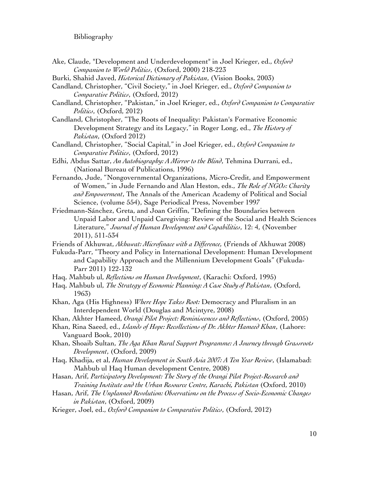#### Bibliography

- Ake, Claude, "Development and Underdevelopment" in Joel Krieger, ed., *Oxford Companion to World Politics*, (Oxford, 2000) 218-223
- Burki, Shahid Javed, *Historical Dictionary of Pakistan*, (Vision Books, 2003)
- Candland, Christopher, "Civil Society," in Joel Krieger, ed., *Oxford Companion to Comparative Politics*, (Oxford, 2012)
- Candland, Christopher, "Pakistan," in Joel Krieger, ed., *Oxford Companion to Comparative Politics*, (Oxford, 2012)
- Candland, Christopher, "The Roots of Inequality: Pakistan's Formative Economic Development Strategy and its Legacy," in Roger Long, ed., *The History of Pakistan*, (Oxford 2012)
- Candland, Christopher, "Social Capital," in Joel Krieger, ed., *Oxford Companion to Comparative Politics*, (Oxford, 2012)
- Edhi, Abdus Sattar, *An Autobiography: A Mirror to the Blind*, Tehmina Durrani, ed., (National Bureau of Publications, 1996)
- Fernando, Jude, "Nongovernmental Organizations, Micro-Credit, and Empowerment of Women," in Jude Fernando and Alan Heston, eds., *The Role of NGOs: Charity and Empowerment*, The Annals of the American Academy of Political and Social Science, (volume 554), Sage Periodical Press, November 1997
- Friedmann-Sánchez, Greta, and Joan Griffin, "Defining the Boundaries between Unpaid Labor and Unpaid Caregiving: Review of the Social and Health Sciences Literature," *Journal of Human Development and Capabilities*, 12: 4, (November 2011), 511-534
- Friends of Akhuwat, *Akhuwat: Microfinace with a Difference,* (Friends of Akhuwat 2008)
- Fukuda-Parr, "Theory and Policy in International Development: Human Development and Capability Approach and the Millennium Development Goals" (Fukuda-Parr 2011) 122-132
- Haq, Mahbub ul, *Reflections on Human Development*, (Karachi: Oxford, 1995)
- Haq, Mahbub ul, *The Strategy of Economic Planning: A Case Study of Pakistan*, (Oxford, 1963)
- Khan, Aga (His Highness) *Where Hope Takes Root:* Democracy and Pluralism in an Interdependent World (Douglas and Mcintyre, 2008)
- Khan, Akhter Hameed, *Orangi Pilot Project: Reminiscences and Reflections*, (Oxford, 2005)
- Khan, Rina Saeed, ed., *Islands of Hope: Recollections of Dr. Akhter Hameed Khan*, (Lahore: Vanguard Book, 2010)
- Khan, Shoaib Sultan, *The Aga Khan Rural Support Programme: A Journey through Grassroots Development*, (Oxford, 2009)
- Haq, Khadija, et al, *Human Development in South Asia 2007: A Ten Year Review*, (Islamabad: Mahbub ul Haq Human development Centre, 2008)
- Hasan, Arif, *Participatory Development: The Story of the Orangi Pilot Project-Research and Training Institute and the Urban Resource Centre, Karachi, Pakistan* (Oxford, 2010)
- Hasan, Arif, *The Unplanned Revolution: Observations on the Process of Socio-Economic Changes in Pakistan*, (Oxford, 2009)
- Krieger, Joel, ed., *Oxford Companion to Comparative Politics*, (Oxford, 2012)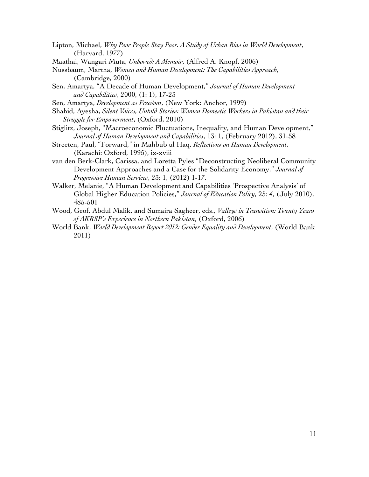- Lipton, Michael, *Why Poor People Stay Poor. A Study of Urban Bias in World Development*, (Harvard, 1977)
- Maathai, Wangari Muta, *Unbowed: A Memoir*, (Alfred A. Knopf, 2006)
- Nussbaum, Martha, *Women and Human Development: The Capabilities Approach*, (Cambridge, 2000)
- Sen, Amartya, "A Decade of Human Development," *Journal of Human Development and Capabilities*, 2000, (1: 1), 17-23
- Sen, Amartya, *Development as Freedom*, (New York: Anchor, 1999)
- Shahid, Ayesha, *Silent Voices, Untold Stories: Women Domestic Workers in Pakistan and their Struggle for Empowerment*, (Oxford, 2010)
- Stiglitz, Joseph, "Macroeconomic Fluctuations, Inequality, and Human Development," *Journal of Human Development and Capabilities*, 13: 1, (February 2012), 31-58
- Streeten, Paul, "Forward," in Mahbub ul Haq, *Reflections on Human Development*, (Karachi: Oxford, 1995), ix-xviii
- van den Berk-Clark, Carissa, and Loretta Pyles "Deconstructing Neoliberal Community Development Approaches and a Case for the Solidarity Economy," *Journal of Progressive Human Services*, 23: 1, (2012) 1-17.
- Walker, Melanie, "A Human Development and Capabilities 'Prospective Analysis' of Global Higher Education Policies," *Journal of Education Policy*, 25: 4, (July 2010), 485-501
- Wood, Geof, Abdul Malik, and Sumaira Sagheer, eds., *Valleys in Transition: Twenty Years of AKRSP's Experience in Northern Pakistan*, (Oxford, 2006)
- World Bank, *World Development Report 2012: Gender Equality and Development*, (World Bank 2011)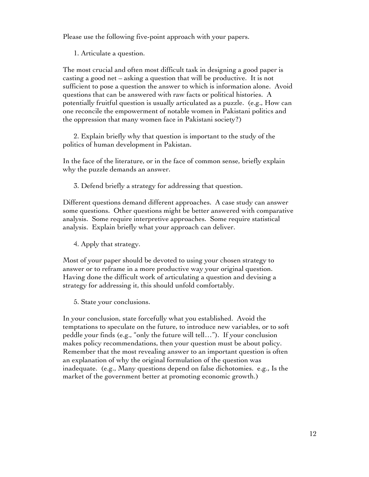Please use the following five-point approach with your papers.

1. Articulate a question.

The most crucial and often most difficult task in designing a good paper is casting a good net – asking a question that will be productive. It is not sufficient to pose a question the answer to which is information alone. Avoid questions that can be answered with raw facts or political histories. A potentially fruitful question is usually articulated as a puzzle. (e.g., How can one reconcile the empowerment of notable women in Pakistani politics and the oppression that many women face in Pakistani society?)

2. Explain briefly why that question is important to the study of the politics of human development in Pakistan.

In the face of the literature, or in the face of common sense, briefly explain why the puzzle demands an answer.

3. Defend briefly a strategy for addressing that question.

Different questions demand different approaches. A case study can answer some questions. Other questions might be better answered with comparative analysis. Some require interpretive approaches. Some require statistical analysis. Explain briefly what your approach can deliver.

4. Apply that strategy.

Most of your paper should be devoted to using your chosen strategy to answer or to reframe in a more productive way your original question. Having done the difficult work of articulating a question and devising a strategy for addressing it, this should unfold comfortably.

5. State your conclusions.

In your conclusion, state forcefully what you established. Avoid the temptations to speculate on the future, to introduce new variables, or to soft peddle your finds (e.g., "only the future will tell…"). If your conclusion makes policy recommendations, then your question must be about policy. Remember that the most revealing answer to an important question is often an explanation of why the original formulation of the question was inadequate. (e.g., Many questions depend on false dichotomies. e.g., Is the market of the government better at promoting economic growth.)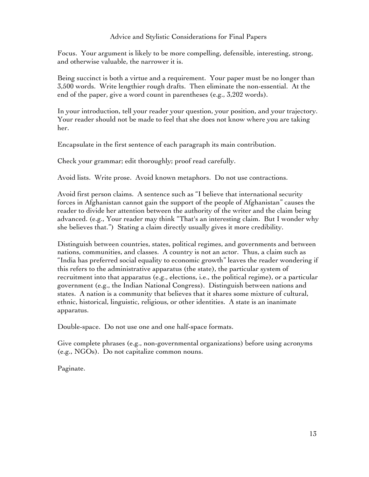## Advice and Stylistic Considerations for Final Papers

Focus. Your argument is likely to be more compelling, defensible, interesting, strong, and otherwise valuable, the narrower it is.

Being succinct is both a virtue and a requirement. Your paper must be no longer than 3,500 words. Write lengthier rough drafts. Then eliminate the non-essential. At the end of the paper, give a word count in parentheses (e.g., 3,202 words).

In your introduction, tell your reader your question, your position, and your trajectory. Your reader should not be made to feel that she does not know where you are taking her.

Encapsulate in the first sentence of each paragraph its main contribution.

Check your grammar; edit thoroughly; proof read carefully.

Avoid lists. Write prose. Avoid known metaphors. Do not use contractions.

Avoid first person claims. A sentence such as "I believe that international security forces in Afghanistan cannot gain the support of the people of Afghanistan" causes the reader to divide her attention between the authority of the writer and the claim being advanced. (e.g., Your reader may think "That's an interesting claim. But I wonder why she believes that.") Stating a claim directly usually gives it more credibility.

Distinguish between countries, states, political regimes, and governments and between nations, communities, and classes. A country is not an actor. Thus, a claim such as "India has preferred social equality to economic growth" leaves the reader wondering if this refers to the administrative apparatus (the state), the particular system of recruitment into that apparatus (e.g., elections, i.e., the political regime), or a particular government (e.g., the Indian National Congress). Distinguish between nations and states. A nation is a community that believes that it shares some mixture of cultural, ethnic, historical, linguistic, religious, or other identities. A state is an inanimate apparatus.

Double-space. Do not use one and one half-space formats.

Give complete phrases (e.g., non-governmental organizations) before using acronyms (e.g., NGOs). Do not capitalize common nouns.

Paginate.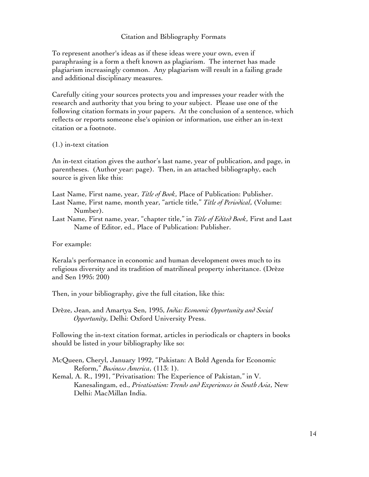#### Citation and Bibliography Formats

To represent another's ideas as if these ideas were your own, even if paraphrasing is a form a theft known as plagiarism. The internet has made plagiarism increasingly common. Any plagiarism will result in a failing grade and additional disciplinary measures.

Carefully citing your sources protects you and impresses your reader with the research and authority that you bring to your subject. Please use one of the following citation formats in your papers. At the conclusion of a sentence, which reflects or reports someone else's opinion or information, use either an in-text citation or a footnote.

#### (1.) in-text citation

An in-text citation gives the author's last name, year of publication, and page, in parentheses. (Author year: page). Then, in an attached bibliography, each source is given like this:

Last Name, First name, year, *Title of Book*, Place of Publication: Publisher.

- Last Name, First name, month year, "article title," *Title of Periodical*, (Volume: Number).
- Last Name, First name, year, "chapter title," in *Title of Edited Book*, First and Last Name of Editor, ed., Place of Publication: Publisher.

For example:

Kerala's performance in economic and human development owes much to its religious diversity and its tradition of matrilineal property inheritance. (Drèze and Sen 1995: 200)

Then, in your bibliography, give the full citation, like this:

Drèze, Jean, and Amartya Sen, 1995, *India: Economic Opportunity and Social Opportunity*, Delhi: Oxford University Press.

Following the in-text citation format, articles in periodicals or chapters in books should be listed in your bibliography like so:

McQueen, Cheryl, January 1992, "Pakistan: A Bold Agenda for Economic Reform," *Business America*, (113: 1).

Kemal, A. R., 1991, "Privatisation: The Experience of Pakistan," in V. Kanesalingam, ed., *Privatisation: Trends and Experiences in South Asia*, New Delhi: MacMillan India.